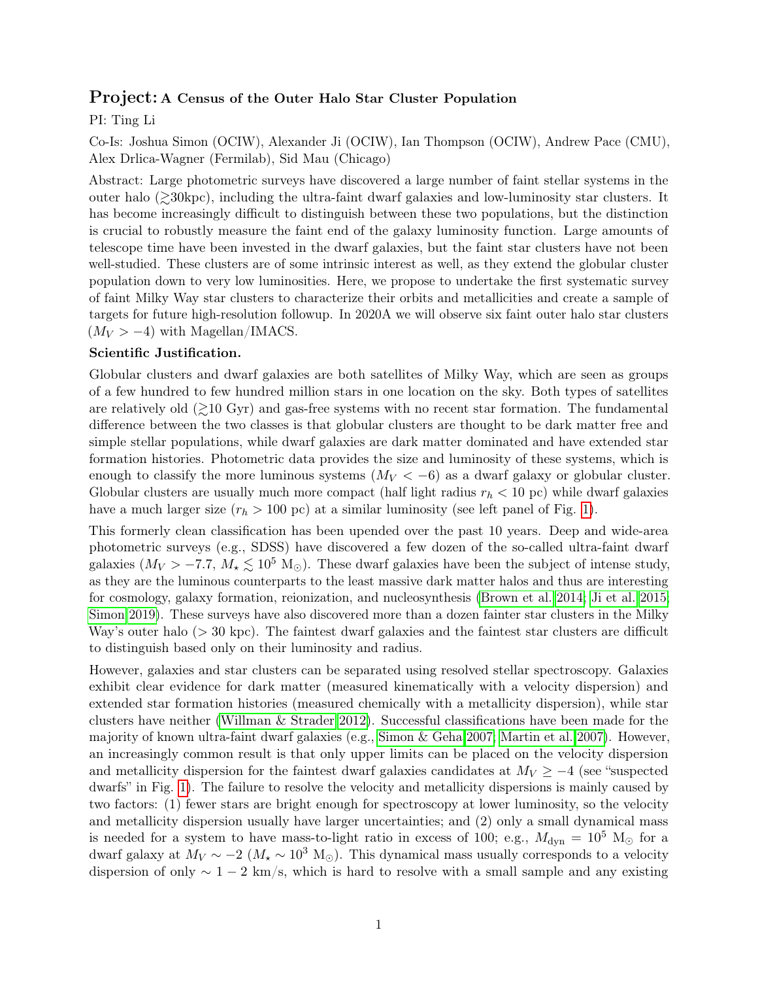## Project: A Census of the Outer Halo Star Cluster Population

PI: Ting Li

Co-Is: Joshua Simon (OCIW), Alexander Ji (OCIW), Ian Thompson (OCIW), Andrew Pace (CMU), Alex Drlica-Wagner (Fermilab), Sid Mau (Chicago)

Abstract: Large photometric surveys have discovered a large number of faint stellar systems in the outer halo  $\gtrsim 30 \text{kpc}$ , including the ultra-faint dwarf galaxies and low-luminosity star clusters. It has become increasingly difficult to distinguish between these two populations, but the distinction is crucial to robustly measure the faint end of the galaxy luminosity function. Large amounts of telescope time have been invested in the dwarf galaxies, but the faint star clusters have not been well-studied. These clusters are of some intrinsic interest as well, as they extend the globular cluster population down to very low luminosities. Here, we propose to undertake the first systematic survey of faint Milky Way star clusters to characterize their orbits and metallicities and create a sample of targets for future high-resolution followup. In 2020A we will observe six faint outer halo star clusters  $(M_V > -4)$  with Magellan/IMACS.

## Scientific Justification.

Globular clusters and dwarf galaxies are both satellites of Milky Way, which are seen as groups of a few hundred to few hundred million stars in one location on the sky. Both types of satellites are relatively old  $\geq 10$  Gyr) and gas-free systems with no recent star formation. The fundamental difference between the two classes is that globular clusters are thought to be dark matter free and simple stellar populations, while dwarf galaxies are dark matter dominated and have extended star formation histories. Photometric data provides the size and luminosity of these systems, which is enough to classify the more luminous systems  $(M_V < -6)$  as a dwarf galaxy or globular cluster. Globular clusters are usually much more compact (half light radius  $r_h < 10$  pc) while dwarf galaxies have a much larger size  $(r_h > 100 \text{ pc})$  at a similar luminosity (see left panel of Fig. [1\)](#page-2-0).

This formerly clean classification has been upended over the past 10 years. Deep and wide-area photometric surveys (e.g., SDSS) have discovered a few dozen of the so-called ultra-faint dwarf galaxies ( $M_V > -7.7$ ,  $M_{\star} \leq 10^5$  M<sub>O</sub>). These dwarf galaxies have been the subject of intense study, as they are the luminous counterparts to the least massive dark matter halos and thus are interesting for cosmology, galaxy formation, reionization, and nucleosynthesis [\(Brown et al. 2014;](#page-2-1) [Ji et al. 2015;](#page-2-2) [Simon 2019\)](#page-2-3). These surveys have also discovered more than a dozen fainter star clusters in the Milky Way's outer halo  $(> 30 \text{ kpc})$ . The faintest dwarf galaxies and the faintest star clusters are difficult to distinguish based only on their luminosity and radius.

However, galaxies and star clusters can be separated using resolved stellar spectroscopy. Galaxies exhibit clear evidence for dark matter (measured kinematically with a velocity dispersion) and extended star formation histories (measured chemically with a metallicity dispersion), while star clusters have neither [\(Willman & Strader 2012\)](#page-2-4). Successful classifications have been made for the majority of known ultra-faint dwarf galaxies (e.g., [Simon & Geha 2007;](#page-2-5) [Martin et al. 2007\)](#page-2-6). However, an increasingly common result is that only upper limits can be placed on the velocity dispersion and metallicity dispersion for the faintest dwarf galaxies candidates at  $M_V \geq -4$  (see "suspected") dwarfs" in Fig. [1\)](#page-2-0). The failure to resolve the velocity and metallicity dispersions is mainly caused by two factors: (1) fewer stars are bright enough for spectroscopy at lower luminosity, so the velocity and metallicity dispersion usually have larger uncertainties; and (2) only a small dynamical mass is needed for a system to have mass-to-light ratio in excess of 100; e.g.,  $M_{\rm dyn} = 10^5$  M<sub> $\odot$ </sub> for a dwarf galaxy at  $M_V \sim -2$  ( $M_{\star} \sim 10^3$  M<sub>☉</sub>). This dynamical mass usually corresponds to a velocity dispersion of only  $\sim 1-2$  km/s, which is hard to resolve with a small sample and any existing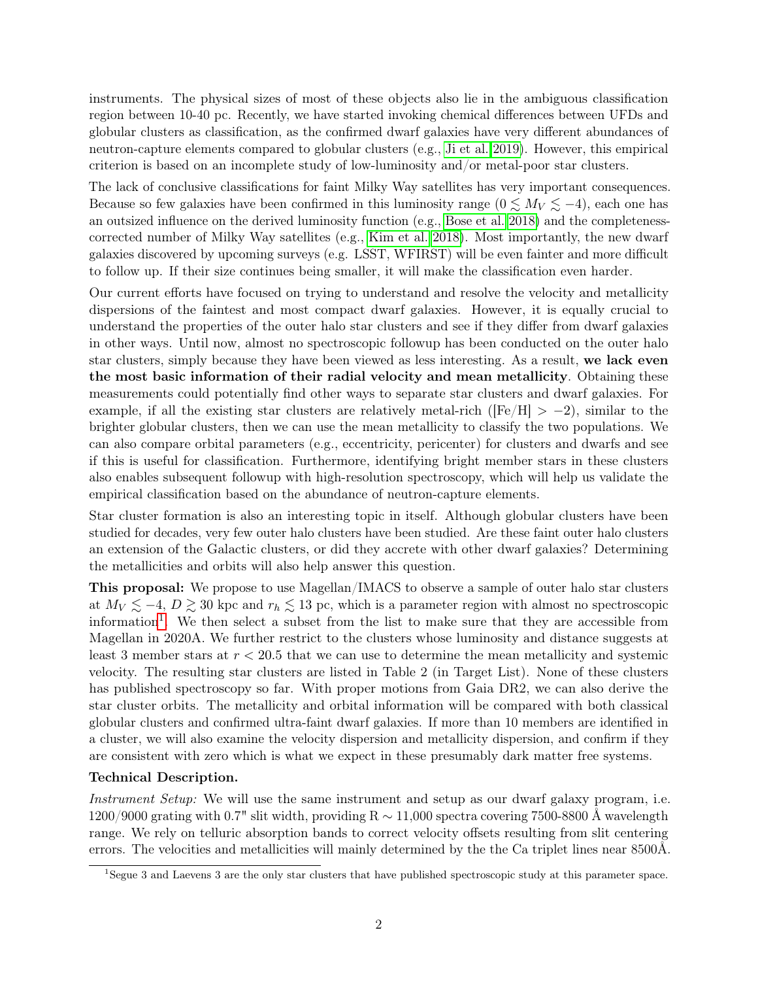instruments. The physical sizes of most of these objects also lie in the ambiguous classification region between 10-40 pc. Recently, we have started invoking chemical differences between UFDs and globular clusters as classification, as the confirmed dwarf galaxies have very different abundances of neutron-capture elements compared to globular clusters (e.g., [Ji et al. 2019\)](#page-2-7). However, this empirical criterion is based on an incomplete study of low-luminosity and/or metal-poor star clusters.

The lack of conclusive classifications for faint Milky Way satellites has very important consequences. Because so few galaxies have been confirmed in this luminosity range  $(0 \leq M_V \leq -4)$ , each one has an outsized influence on the derived luminosity function (e.g., [Bose et al. 2018\)](#page-2-8) and the completenesscorrected number of Milky Way satellites (e.g., [Kim et al. 2018\)](#page-2-9). Most importantly, the new dwarf galaxies discovered by upcoming surveys (e.g. LSST, WFIRST) will be even fainter and more difficult to follow up. If their size continues being smaller, it will make the classification even harder.

Our current efforts have focused on trying to understand and resolve the velocity and metallicity dispersions of the faintest and most compact dwarf galaxies. However, it is equally crucial to understand the properties of the outer halo star clusters and see if they differ from dwarf galaxies in other ways. Until now, almost no spectroscopic followup has been conducted on the outer halo star clusters, simply because they have been viewed as less interesting. As a result, we lack even the most basic information of their radial velocity and mean metallicity. Obtaining these measurements could potentially find other ways to separate star clusters and dwarf galaxies. For example, if all the existing star clusters are relatively metal-rich ( $[Fe/H] > -2$ ), similar to the brighter globular clusters, then we can use the mean metallicity to classify the two populations. We can also compare orbital parameters (e.g., eccentricity, pericenter) for clusters and dwarfs and see if this is useful for classification. Furthermore, identifying bright member stars in these clusters also enables subsequent followup with high-resolution spectroscopy, which will help us validate the empirical classification based on the abundance of neutron-capture elements.

Star cluster formation is also an interesting topic in itself. Although globular clusters have been studied for decades, very few outer halo clusters have been studied. Are these faint outer halo clusters an extension of the Galactic clusters, or did they accrete with other dwarf galaxies? Determining the metallicities and orbits will also help answer this question.

This proposal: We propose to use Magellan/IMACS to observe a sample of outer halo star clusters at  $M_V \lesssim -4$ ,  $D \gtrsim 30$  kpc and  $r_h \lesssim 13$  pc, which is a parameter region with almost no spectroscopic information<sup>[1](#page-1-0)</sup>. We then select a subset from the list to make sure that they are accessible from Magellan in 2020A. We further restrict to the clusters whose luminosity and distance suggests at least 3 member stars at  $r < 20.5$  that we can use to determine the mean metallicity and systemic velocity. The resulting star clusters are listed in Table 2 (in Target List). None of these clusters has published spectroscopy so far. With proper motions from Gaia DR2, we can also derive the star cluster orbits. The metallicity and orbital information will be compared with both classical globular clusters and confirmed ultra-faint dwarf galaxies. If more than 10 members are identified in a cluster, we will also examine the velocity dispersion and metallicity dispersion, and confirm if they are consistent with zero which is what we expect in these presumably dark matter free systems.

## Technical Description.

Instrument Setup: We will use the same instrument and setup as our dwarf galaxy program, i.e. 1200/9000 grating with 0.7" slit width, providing R ∼ 11,000 spectra covering 7500-8800 Å wavelength range. We rely on telluric absorption bands to correct velocity offsets resulting from slit centering errors. The velocities and metallicities will mainly determined by the the Ca triplet lines near 8500Å.

<span id="page-1-0"></span><sup>1</sup>Segue 3 and Laevens 3 are the only star clusters that have published spectroscopic study at this parameter space.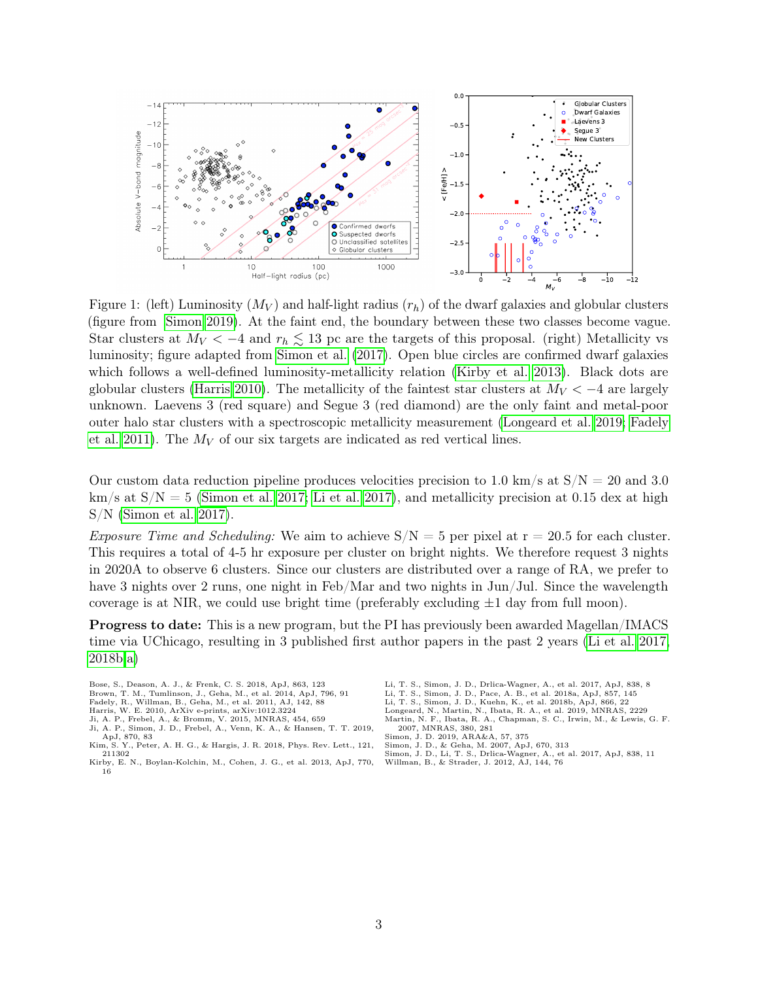

<span id="page-2-0"></span>Figure 1: (left) Luminosity  $(M_V)$  and half-light radius  $(r_h)$  of the dwarf galaxies and globular clusters (figure from [Simon 2019\)](#page-2-3). At the faint end, the boundary between these two classes become vague. Star clusters at  $M_V < -4$  and  $r_h \lesssim 13$  pc are the targets of this proposal. (right) Metallicity vs luminosity; figure adapted from [Simon et al.](#page-2-10) [\(2017\)](#page-2-10). Open blue circles are confirmed dwarf galaxies which follows a well-defined luminosity-metallicity relation [\(Kirby et al. 2013\)](#page-2-11). Black dots are globular clusters [\(Harris 2010\)](#page-2-12). The metallicity of the faintest star clusters at  $M_V < -4$  are largely unknown. Laevens 3 (red square) and Segue 3 (red diamond) are the only faint and metal-poor outer halo star clusters with a spectroscopic metallicity measurement [\(Longeard et al. 2019;](#page-2-13) [Fadely](#page-2-14) [et al. 2011\)](#page-2-14). The  $M_V$  of our six targets are indicated as red vertical lines.

Our custom data reduction pipeline produces velocities precision to 1.0 km/s at  $S/N = 20$  and 3.0  $km/s$  at  $S/N = 5$  [\(Simon et al. 2017;](#page-2-10) [Li et al. 2017\)](#page-2-15), and metallicity precision at 0.15 dex at high S/N [\(Simon et al. 2017\)](#page-2-10).

*Exposure Time and Scheduling:* We aim to achieve  $S/N = 5$  per pixel at  $r = 20.5$  for each cluster. This requires a total of 4-5 hr exposure per cluster on bright nights. We therefore request 3 nights in 2020A to observe 6 clusters. Since our clusters are distributed over a range of RA, we prefer to have 3 nights over 2 runs, one night in Feb/Mar and two nights in Jun/Jul. Since the wavelength coverage is at NIR, we could use bright time (preferably excluding  $\pm 1$  day from full moon).

Progress to date: This is a new program, but the PI has previously been awarded Magellan/IMACS time via UChicago, resulting in 3 published first author papers in the past 2 years [\(Li et al. 2017,](#page-2-15) [2018b](#page-2-16)[,a\)](#page-2-17)

- <span id="page-2-8"></span><span id="page-2-1"></span>Bose, S., Deason, A. J., & Frenk, C. S. 2018, ApJ, 863, 123<br>Brown, T. M., Tumlinson, J., Geha, M., et al. 2014, ApJ, 796, 91<br>Fadely, R., Willman, B., Geha, M., et al. 2011, AJ, 142, 88
- 
- <span id="page-2-14"></span>
- <span id="page-2-12"></span><span id="page-2-2"></span>Harris, W. E. 2010, ArXiv e-prints, arXiv:1012.3224 & Bromm, V. 2015, MNRAS, 454, 659
- <span id="page-2-7"></span>Ji, A. P., Simon, J. D., Frebel, A., Venn, K. A., & Hansen, T. T. 2019, ApJ, 870, 83<br>Kim, S. Y., Pete
- <span id="page-2-9"></span>Y., Peter, A. H. G., & Hargis, J. R. 2018, Phys. Rev. Lett., 121, 211302
- <span id="page-2-11"></span>Kirby, E. N., Boylan-Kolchin, M., Cohen, J. G., et al. 2013, ApJ, 770, 16
- Li, T. S., Simon, J. D., Drlica-Wagner, A., et al. 2017, ApJ, 838, 8 Li, T. S., Simon, J. D., Pace, A. B., et al. 2018a, ApJ, 857, 145
- <span id="page-2-17"></span><span id="page-2-16"></span><span id="page-2-15"></span><span id="page-2-13"></span>Li, T. S., Simon, J. D., Kuehn, K., et al. 2018b, ApJ, 866, 22
- <span id="page-2-6"></span>
- Longeard, N., Martin, N., Ibata, R. A., et al. 2019, MNRAS, 2229 Martin, N. F., Ibata, R. A., Chapman, S. C., Irwin, M., & Lewis, G. F. 2007, MNRAS, 380, 281
- <span id="page-2-3"></span>Simon, J. D. 2019, ARA&A, 57, 375
- 
- <span id="page-2-10"></span><span id="page-2-5"></span>Simon, J. D., & Geha, M. 2007, ApJ, 670, 313 Simon, J. D., Li, T. S., Drlica-Wagner, A., et al. 2017, ApJ, 838, 11
- <span id="page-2-4"></span>Willman, B., & Strader, J. 2012, AJ, 144, 76